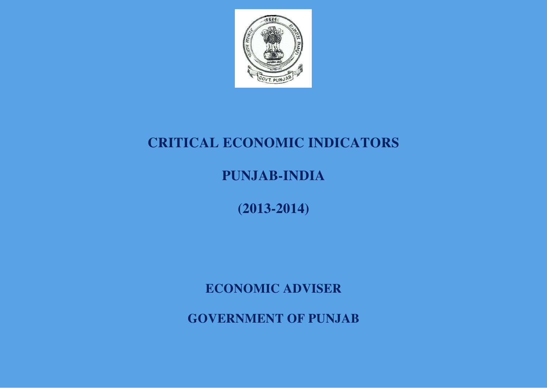

# **CRITICAL ECONOMIC INDICATORS**

**PUNJAB-INDIA** 

**(2013-2014)**

**ECONOMIC ADVISER** 

**GOVERNMENT OF PUNJAB**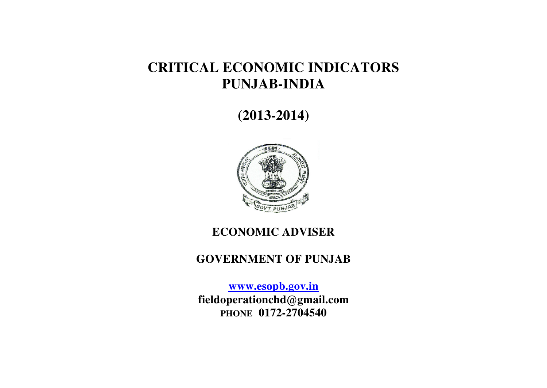## **CRITICAL ECONOMIC INDICATORS PUNJAB-INDIA**

**(2013-2014)** 



### **ECONOMIC ADVISER**

#### **GOVERNMENT OF PUNJAB**

**[www.esopb.gov.in](http://www.esopb.gov.in/) fieldoperationchd@gmail.com PHONE 0172-2704540**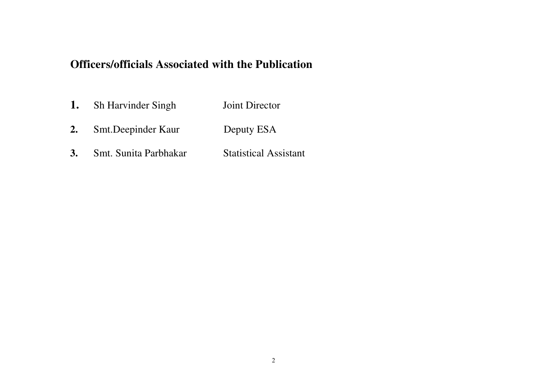### **Officers/officials Associated with the Publication**

- 1. Sh Harvinder Singh Joint Director
- 2. Smt.Deepinder Kaur Deputy ESA
- **3.** Smt. Sunita Parbhakar Statistical Assistant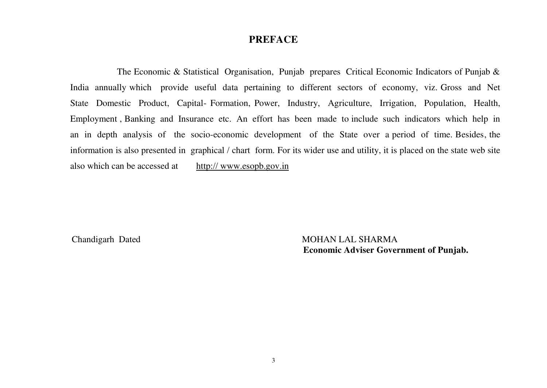#### **PREFACE**

The Economic & Statistical Organisation, Punjab prepares Critical Economic Indicators of Punjab & India annually which provide useful data pertaining to different sectors of economy, viz. Gross and Net State Domestic Product, Capital- Formation, Power, Industry, Agriculture, Irrigation, Population, Health, Employment , Banking and Insurance etc. An effort has been made to include such indicators which help in an in depth analysis of the socio-economic development of the State over a period of time. Besides, the information is also presented in graphical / chart form. For its wider use and utility, it is placed on the state web site also which can be accessed at http:// www.esopb.gov.in

Chandigarh Dated MOHAN LAL SHARMA  **Economic Adviser Government of Punjab.**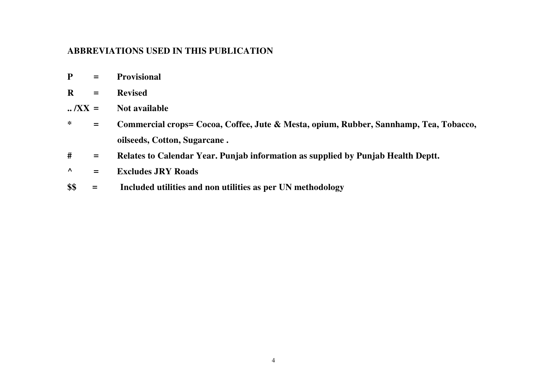#### **ABBREVIATIONS USED IN THIS PUBLICATION**

**R = Revised** 

**.. /XX = Not available** 

**\* = Commercial crops= Cocoa, Coffee, Jute & Mesta, opium, Rubber, Sannhamp, Tea, Tobacco, oilseeds, Cotton, Sugarcane .** 

**# = Relates to Calendar Year. Punjab information as supplied by Punjab Health Deptt.** 

**^ = Excludes JRY Roads** 

**\$\$ = Included utilities and non utilities as per UN methodology**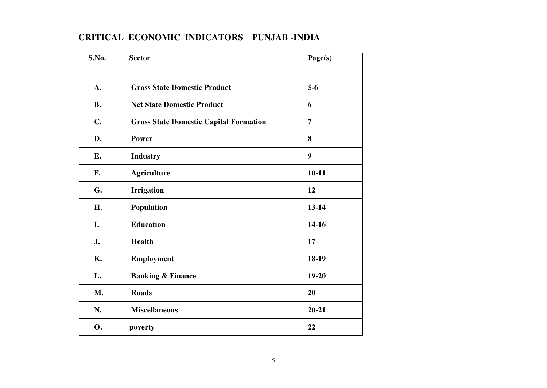| S.No.         | <b>Sector</b>                                 | Page(s)   |
|---------------|-----------------------------------------------|-----------|
| A.            | <b>Gross State Domestic Product</b>           | $5-6$     |
| <b>B.</b>     | <b>Net State Domestic Product</b>             | 6         |
| $C_{\bullet}$ | <b>Gross State Domestic Capital Formation</b> | 7         |
| D.            | Power                                         | 8         |
| E.            | <b>Industry</b>                               | 9         |
| F.            | <b>Agriculture</b>                            | $10 - 11$ |
| G.            | <b>Irrigation</b>                             | 12        |
| H.            | Population                                    | 13-14     |
| I.            | <b>Education</b>                              | 14-16     |
| J.            | Health                                        | 17        |
| <b>K.</b>     | Employment                                    | 18-19     |
| L.            | <b>Banking &amp; Finance</b>                  | $19 - 20$ |
| M.            | <b>Roads</b>                                  | 20        |
| N.            | <b>Miscellaneous</b>                          | $20 - 21$ |
| <b>O.</b>     | poverty                                       | 22        |

#### **CRITICAL ECONOMIC INDICATORS PUNJAB -INDIA**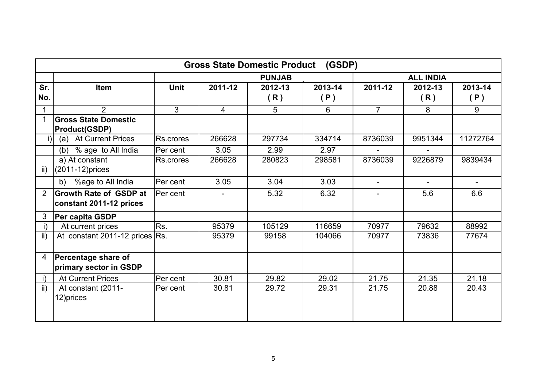|                |                                                          |             |                | <b>Gross State Domestic Product</b> | (GSDP)  |                  |                |          |  |
|----------------|----------------------------------------------------------|-------------|----------------|-------------------------------------|---------|------------------|----------------|----------|--|
|                |                                                          |             |                | <b>PUNJAB</b>                       |         | <b>ALL INDIA</b> |                |          |  |
| Sr.            | Item                                                     | <b>Unit</b> | 2011-12        | 2012-13                             | 2013-14 | 2011-12          | 2012-13        | 2013-14  |  |
| No.            |                                                          |             |                | (R)                                 | (P)     |                  | (R)            | (P)      |  |
|                | $\overline{2}$                                           | 3           | $\overline{4}$ | 5                                   | 6       | $\overline{7}$   | 8              | 9        |  |
|                | <b>Gross State Domestic</b><br><b>Product(GSDP)</b>      |             |                |                                     |         |                  |                |          |  |
| $\vert$ i)     | (a) At Current Prices                                    | Rs.crores   | 266628         | 297734                              | 334714  | 8736039          | 9951344        | 11272764 |  |
|                | % age to All India<br>(b)                                | Per cent    | 3.05           | 2.99                                | 2.97    | $\sim$           | $\mathbf{r}$   |          |  |
| ii)            | a) At constant<br>(2011-12) prices                       | Rs.crores   | 266628         | 280823                              | 298581  | 8736039          | 9226879        | 9839434  |  |
|                | %age to All India<br>b)                                  | Per cent    | 3.05           | 3.04                                | 3.03    | $\blacksquare$   | $\blacksquare$ |          |  |
| $\overline{2}$ | <b>Growth Rate of GSDP at</b><br>constant 2011-12 prices | Per cent    |                | 5.32                                | 6.32    | ÷.               | 5.6            | 6.6      |  |
| 3              | Per capita GSDP                                          |             |                |                                     |         |                  |                |          |  |
| i)             | At current prices                                        | Rs.         | 95379          | 105129                              | 116659  | 70977            | 79632          | 88992    |  |
| ii)            | At constant 2011-12 prices Rs.                           |             | 95379          | 99158                               | 104066  | 70977            | 73836          | 77674    |  |
| 4              | Percentage share of<br>primary sector in GSDP            |             |                |                                     |         |                  |                |          |  |
| $\mathsf{i}$   | <b>At Current Prices</b>                                 | Per cent    | 30.81          | 29.82                               | 29.02   | 21.75            | 21.35          | 21.18    |  |
| $\mathsf{ii}$  | At constant (2011-<br>12) prices                         | Per cent    | 30.81          | 29.72                               | 29.31   | 21.75            | 20.88          | 20.43    |  |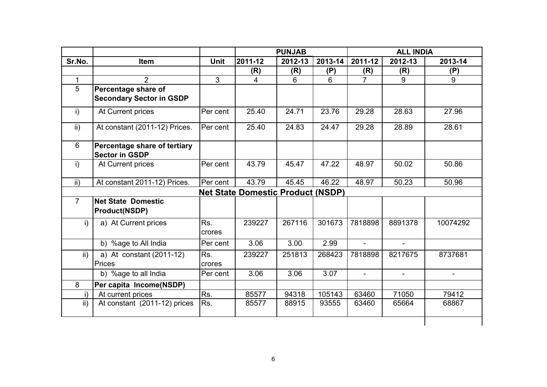|                 |                                                       |                |                                          | <b>PUNJAB</b> |         |                          | <b>ALL INDIA</b>         |          |
|-----------------|-------------------------------------------------------|----------------|------------------------------------------|---------------|---------|--------------------------|--------------------------|----------|
| Sr.No.          | <b>Item</b>                                           | <b>Unit</b>    | 2011-12                                  | 2012-13       | 2013-14 | 2011-12                  | 2012-13                  | 2013-14  |
|                 |                                                       |                | (R)                                      | (R)           | (P)     | (R)                      | (R)                      | (P)      |
| $\mathbf{1}$    | $\overline{2}$                                        | $\overline{3}$ | $\overline{4}$                           | 6             | 6       | $\overline{7}$           | 9                        | 9        |
| $\overline{5}$  | Percentage share of                                   |                |                                          |               |         |                          |                          |          |
|                 | <b>Secondary Sector in GSDP</b>                       |                |                                          |               |         |                          |                          |          |
| i)              | At Current prices                                     | Per cent       | 25.40                                    | 24.71         | 23.76   | 29.28                    | 28.63                    | 27.96    |
| ii)             | At constant (2011-12) Prices.                         | Per cent       | 25.40                                    | 24.83         | 24.47   | 29.28                    | 28.89                    | 28.61    |
| 6               | Percentage share of tertiary<br><b>Sector in GSDP</b> |                |                                          |               |         |                          |                          |          |
| i)              | At Current prices                                     | Per cent       | 43.79                                    | 45.47         | 47.22   | 48.97                    | 50.02                    | 50.86    |
| $\mathsf{ii}$ ) | At constant 2011-12) Prices.                          | Per cent       | 43.79                                    | 45.45         | 46.22   | 48.97                    | 50.23                    | 50.96    |
|                 |                                                       |                | <b>Net State Domestic Product (NSDP)</b> |               |         |                          |                          |          |
| $\overline{7}$  | <b>Net State Domestic</b><br><b>Product(NSDP)</b>     |                |                                          |               |         |                          |                          |          |
| i)              | a) At Current prices                                  | Rs.<br>crores  | 239227                                   | 267116        | 301673  | 7818898                  | 8891378                  | 10074292 |
|                 | b) %age to All India                                  | Per cent       | 3.06                                     | 3.00          | 2.99    | $\blacksquare$           |                          |          |
| $\mathsf{ii}$ ) | a) At constant (2011-12)<br>Prices                    | Rs.<br>crores  | 239227                                   | 251813        | 268423  | 7818898                  | 8217675                  | 8737681  |
|                 | b) %age to all India                                  | Per cent       | 3.06                                     | 3.06          | 3.07    | $\overline{\phantom{0}}$ | $\overline{\phantom{0}}$ | Ξ.       |
| 8               | Per capita Income(NSDP)                               |                |                                          |               |         |                          |                          |          |
| i)              | At current prices                                     | Rs.            | 85577                                    | 94318         | 105143  | 63460                    | 71050                    | 79412    |
| ii)             | At constant (2011-12) prices                          | Rs.            | 85577                                    | 88915         | 93555   | 63460                    | 65664                    | 68867    |
|                 |                                                       |                |                                          |               |         |                          |                          |          |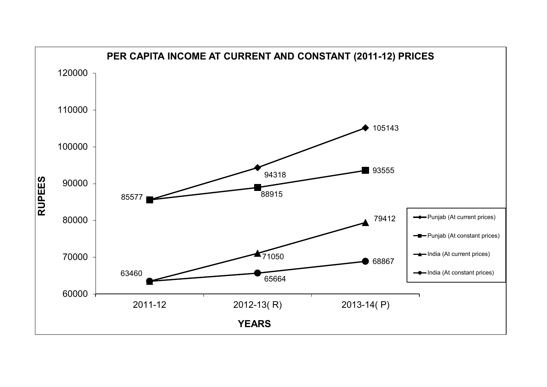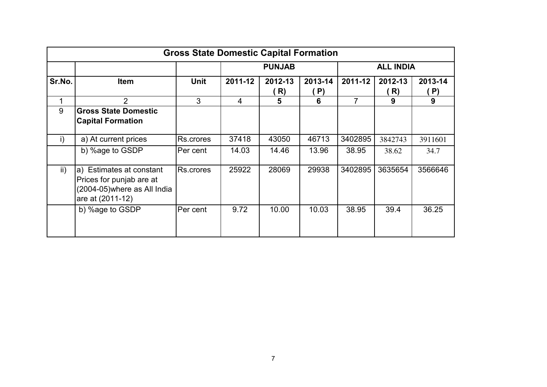|        |                                                                                                          | <b>Gross State Domestic Capital Formation</b> |         |               |               |                  |               |               |
|--------|----------------------------------------------------------------------------------------------------------|-----------------------------------------------|---------|---------------|---------------|------------------|---------------|---------------|
|        |                                                                                                          |                                               |         | <b>PUNJAB</b> |               | <b>ALL INDIA</b> |               |               |
| Sr.No. | <b>Item</b>                                                                                              | <b>Unit</b>                                   | 2011-12 | 2012-13<br>R) | 2013-14<br>P) | 2011-12          | 2012-13<br>R) | 2013-14<br>P) |
| 1      | $\overline{2}$                                                                                           | 3                                             | 4       | 5             | 6             | 7                | 9             | 9             |
| 9      | <b>Gross State Domestic</b><br><b>Capital Formation</b>                                                  |                                               |         |               |               |                  |               |               |
| i)     | a) At current prices                                                                                     | Rs.crores                                     | 37418   | 43050         | 46713         | 3402895          | 3842743       | 3911601       |
|        | b) %age to GSDP                                                                                          | Per cent                                      | 14.03   | 14.46         | 13.96         | 38.95            | 38.62         | 34.7          |
| ii)    | a) Estimates at constant<br>Prices for punjab are at<br>(2004-05) where as All India<br>are at (2011-12) | Rs.crores                                     | 25922   | 28069         | 29938         | 3402895          | 3635654       | 3566646       |
|        | b) %age to GSDP                                                                                          | Per cent                                      | 9.72    | 10.00         | 10.03         | 38.95            | 39.4          | 36.25         |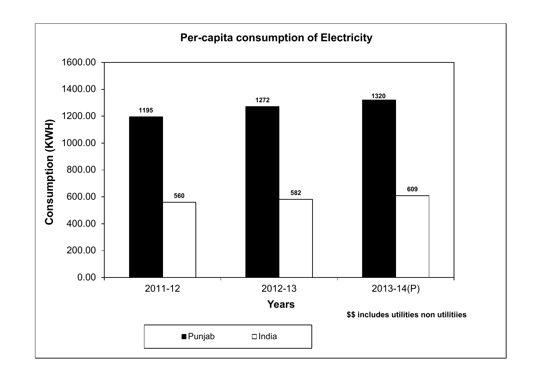### **Per-capita consumption of Electricity**

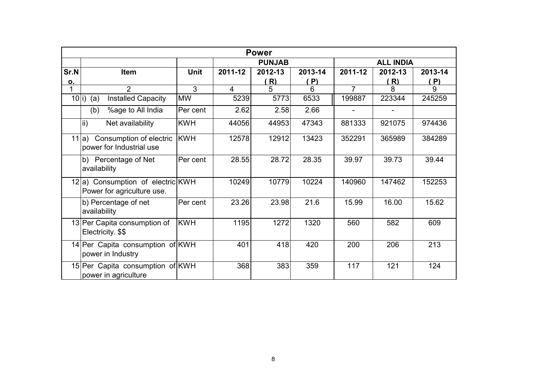|                                   | <b>Power</b>                                                    |             |                |         |         |                |         |         |  |  |
|-----------------------------------|-----------------------------------------------------------------|-------------|----------------|---------|---------|----------------|---------|---------|--|--|
| <b>ALL INDIA</b><br><b>PUNJAB</b> |                                                                 |             |                |         |         |                |         |         |  |  |
| Sr.N                              | <b>Item</b>                                                     | <b>Unit</b> | 2011-12        | 2012-13 | 2013-14 | 2011-12        | 2012-13 | 2013-14 |  |  |
| 0.                                |                                                                 |             |                | (R)     | ( P)    |                | (R)     | (P)     |  |  |
| 1                                 | $\overline{2}$                                                  | 3           | $\overline{4}$ | 5       | 6       | $\overline{7}$ | 8       | 9       |  |  |
| $10 i\rangle$                     | <b>Installed Capacity</b><br>(a)                                | <b>MW</b>   | 5239           | 5773    | 6533    | 199887         | 223344  | 245259  |  |  |
|                                   | %age to All India<br>(b)                                        | Per cent    | 2.62           | 2.58    | 2.66    |                |         |         |  |  |
|                                   | $\mathsf{ii}$<br>Net availability                               | <b>KWH</b>  | 44056          | 44953   | 47343   | 881333         | 921075  | 974436  |  |  |
|                                   | 11 a) Consumption of electric<br>power for Industrial use       | <b>KWH</b>  | 12578          | 12912   | 13423   | 352291         | 365989  | 384289  |  |  |
|                                   | b) Percentage of Net<br>availability                            | Per cent    | 28.55          | 28.72   | 28.35   | 39.97          | 39.73   | 39.44   |  |  |
|                                   | 12 a) Consumption of electric KWH<br>Power for agriculture use. |             | 10249          | 10779   | 10224   | 140960         | 147462  | 152253  |  |  |
|                                   | b) Percentage of net<br>availability                            | Per cent    | 23.26          | 23.98   | 21.6    | 15.99          | 16.00   | 15.62   |  |  |
|                                   | 13 Per Capita consumption of<br>Electricity. \$\$               | <b>KWH</b>  | 1195           | 1272    | 1320    | 560            | 582     | 609     |  |  |
|                                   | 14 Per Capita consumption of KWH<br>power in Industry           |             | 401            | 418     | 420     | 200            | 206     | 213     |  |  |
|                                   | 15 Per Capita consumption of KWH<br>power in agriculture        |             | 368            | 383     | 359     | 117            | 121     | 124     |  |  |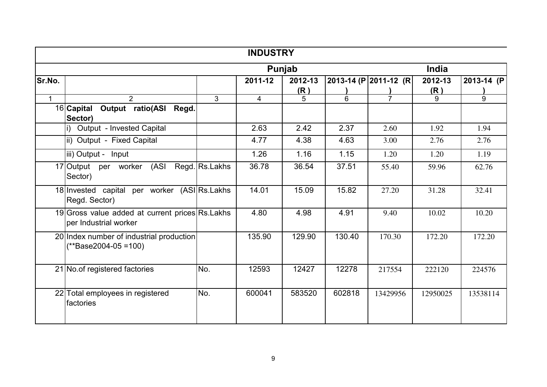|              |                                                                          |                 | <b>INDUSTRY</b> |         |        |                       |          |            |
|--------------|--------------------------------------------------------------------------|-----------------|-----------------|---------|--------|-----------------------|----------|------------|
|              |                                                                          |                 |                 | Punjab  |        |                       | India    |            |
| Sr.No.       |                                                                          |                 | 2011-12         | 2012-13 |        | 2013-14 (P 2011-12 (R | 2012-13  | 2013-14 (P |
|              |                                                                          |                 |                 | (R)     |        |                       | (R)      |            |
| $\mathbf{1}$ | $\mathcal{P}$                                                            | $\overline{3}$  | $\overline{4}$  | 5       | 6      | $\overline{7}$        | q        | 9          |
|              | 16 Capital Output ratio(ASI<br>Regd.<br>Sector)                          |                 |                 |         |        |                       |          |            |
|              | Output - Invested Capital                                                |                 | 2.63            | 2.42    | 2.37   | 2.60                  | 1.92     | 1.94       |
|              | ii) Output - Fixed Capital                                               |                 | 4.77            | 4.38    | 4.63   | 3.00                  | 2.76     | 2.76       |
|              | iii) Output - Input                                                      |                 | 1.26            | 1.16    | 1.15   | 1.20                  | 1.20     | 1.19       |
|              | 17 Output per worker (ASI<br>Sector)                                     | Regd. Rs. Lakhs | 36.78           | 36.54   | 37.51  | 55.40                 | 59.96    | 62.76      |
|              | 18 Invested capital per worker (ASI Rs. Lakhs<br>Regd. Sector)           |                 | 14.01           | 15.09   | 15.82  | 27.20                 | 31.28    | 32.41      |
|              | 19 Gross value added at current prices Rs.Lakhs<br>per Industrial worker |                 | 4.80            | 4.98    | 4.91   | 9.40                  | 10.02    | 10.20      |
|              | 20 Index number of industrial production<br>$(**Base2004-05=100)$        |                 | 135.90          | 129.90  | 130.40 | 170.30                | 172.20   | 172.20     |
|              | 21 No. of registered factories                                           | No.             | 12593           | 12427   | 12278  | 217554                | 222120   | 224576     |
|              | 22 Total employees in registered<br>factories                            | No.             | 600041          | 583520  | 602818 | 13429956              | 12950025 | 13538114   |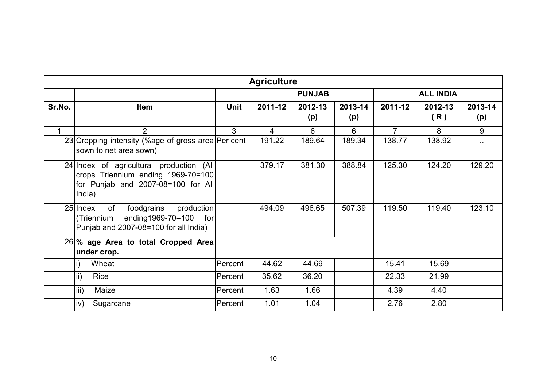|        |                                                                                                                                  |             | <b>Agriculture</b> |                |                |                  |                |                |  |
|--------|----------------------------------------------------------------------------------------------------------------------------------|-------------|--------------------|----------------|----------------|------------------|----------------|----------------|--|
|        |                                                                                                                                  |             |                    | <b>PUNJAB</b>  |                | <b>ALL INDIA</b> |                |                |  |
| Sr.No. | <b>Item</b>                                                                                                                      | <b>Unit</b> | 2011-12            | 2012-13<br>(p) | 2013-14<br>(p) | 2011-12          | 2012-13<br>(R) | 2013-14<br>(p) |  |
|        | $\overline{2}$                                                                                                                   | 3           | $\overline{4}$     | 6              | $6\phantom{1}$ | $\overline{7}$   | 8              | 9              |  |
|        | 23 Cropping intensity (%age of gross area   Per cent<br>sown to net area sown)                                                   |             | 191.22             | 189.64         | 189.34         | 138.77           | 138.92         | $\sim$         |  |
|        | 24 Index of agricultural production (All<br>crops Triennium ending 1969-70=100<br>for Punjab and 2007-08=100 for All<br>India)   |             | 379.17             | 381.30         | 388.84         | 125.30           | 124.20         | 129.20         |  |
|        | $25$  Index<br>of<br>foodgrains<br>production<br>ending1969-70=100<br>(Triennium<br>for<br>Punjab and 2007-08=100 for all India) |             | 494.09             | 496.65         | 507.39         | 119.50           | 119.40         | 123.10         |  |
|        | 26 % age Area to total Cropped Area<br>under crop.                                                                               |             |                    |                |                |                  |                |                |  |
|        | Wheat                                                                                                                            | Percent     | 44.62              | 44.69          |                | 15.41            | 15.69          |                |  |
|        | ii)<br>Rice                                                                                                                      | Percent     | 35.62              | 36.20          |                | 22.33            | 21.99          |                |  |
|        | iii)<br>Maize                                                                                                                    | Percent     | 1.63               | 1.66           |                | 4.39             | 4.40           |                |  |
|        | iv)<br>Sugarcane                                                                                                                 | Percent     | 1.01               | 1.04           |                | 2.76             | 2.80           |                |  |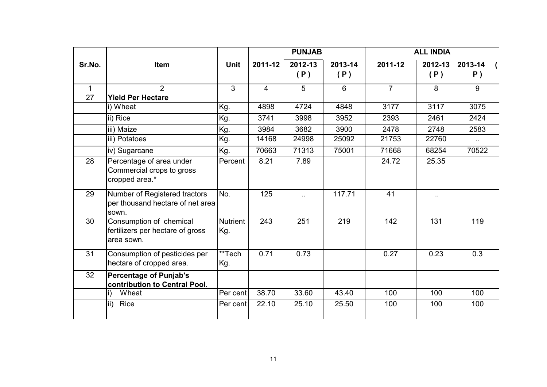|                 |                                                                            |                        | <b>PUNJAB</b> |                |                | <b>ALL INDIA</b> |                      |                  |
|-----------------|----------------------------------------------------------------------------|------------------------|---------------|----------------|----------------|------------------|----------------------|------------------|
| Sr.No.          | Item                                                                       | <b>Unit</b>            | 2011-12       | 2012-13<br>(P) | 2013-14<br>(P) | 2011-12          | 2012-13<br>(P)       | 2013-14<br>$P$ ) |
| $\mathbf{1}$    | $\overline{2}$                                                             | 3                      | 4             | 5              | 6              | $\overline{7}$   | 8                    | 9                |
| $\overline{27}$ | <b>Yield Per Hectare</b>                                                   |                        |               |                |                |                  |                      |                  |
|                 | i) Wheat                                                                   | Kg.                    | 4898          | 4724           | 4848           | 3177             | 3117                 | 3075             |
|                 | ii) Rice                                                                   | Kg.                    | 3741          | 3998           | 3952           | 2393             | 2461                 | 2424             |
|                 | iii) Maize                                                                 | Kg.                    | 3984          | 3682           | 3900           | 2478             | 2748                 | 2583             |
|                 | iii) Potatoes                                                              | Kg.                    | 14168         | 24998          | 25092          | 21753            | 22760                | $\sim$           |
|                 | iv) Sugarcane                                                              | Kg.                    | 70663         | 71313          | 75001          | 71668            | 68254                | 70522            |
| 28              | Percentage of area under<br>Commercial crops to gross<br>cropped area.*    | Percent                | 8.21          | 7.89           |                | 24.72            | 25.35                |                  |
| 29              | Number of Registered tractors<br>per thousand hectare of net area<br>sown. | No.                    | 125           | $\sim$         | 117.71         | 41               | $\ddot{\phantom{1}}$ |                  |
| 30              | Consumption of chemical<br>fertilizers per hectare of gross<br>area sown.  | <b>Nutrient</b><br>Kg. | 243           | 251            | 219            | 142              | 131                  | 119              |
| 31              | Consumption of pesticides per<br>hectare of cropped area.                  | **Tech<br>Kg.          | 0.71          | 0.73           |                | 0.27             | 0.23                 | 0.3              |
| 32              | <b>Percentage of Punjab's</b><br>contribution to Central Pool.             |                        |               |                |                |                  |                      |                  |
|                 | Wheat                                                                      | Per cent               | 38.70         | 33.60          | 43.40          | 100              | 100                  | 100              |
|                 | lii)<br>Rice                                                               | Per cent               | 22.10         | 25.10          | 25.50          | 100              | 100                  | 100              |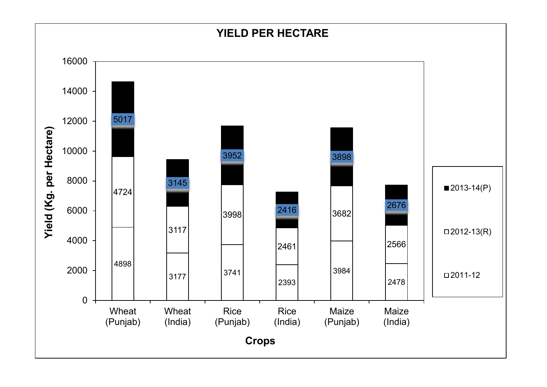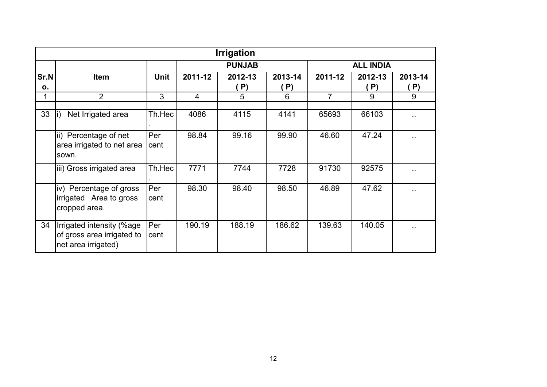|            |                                                                                |                    |         | <b>Irrigation</b> |                      |                |                  |               |
|------------|--------------------------------------------------------------------------------|--------------------|---------|-------------------|----------------------|----------------|------------------|---------------|
|            |                                                                                |                    |         | <b>PUNJAB</b>     |                      |                | <b>ALL INDIA</b> |               |
| Sr.N<br>0. | <b>Item</b>                                                                    | <b>Unit</b>        | 2011-12 | 2012-13<br>. P)   | 2013-14<br>$\ket{P}$ | 2011-12        | 2012-13<br>P)    | 2013-14<br>P) |
| 1          | $\overline{2}$                                                                 | 3                  | 4       | 5                 | 6                    | $\overline{7}$ | 9                | 9             |
| 33         | Net Irrigated area                                                             | Th.Hec             | 4086    | 4115              | 4141                 | 65693          | 66103            |               |
|            | ii) Percentage of net<br>area irrigated to net area<br>sown.                   | <b>Per</b><br>cent | 98.84   | 99.16             | 99.90                | 46.60          | 47.24            | ٠.            |
|            | iii) Gross irrigated area                                                      | Th.Hec             | 7771    | 7744              | 7728                 | 91730          | 92575            |               |
|            | iv) Percentage of gross<br>irrigated Area to gross<br>cropped area.            | Per<br>cent        | 98.30   | 98.40             | 98.50                | 46.89          | 47.62            | ٠.            |
| 34         | Irrigated intensity (%age<br>of gross area irrigated to<br>net area irrigated) | Per<br>cent        | 190.19  | 188.19            | 186.62               | 139.63         | 140.05           |               |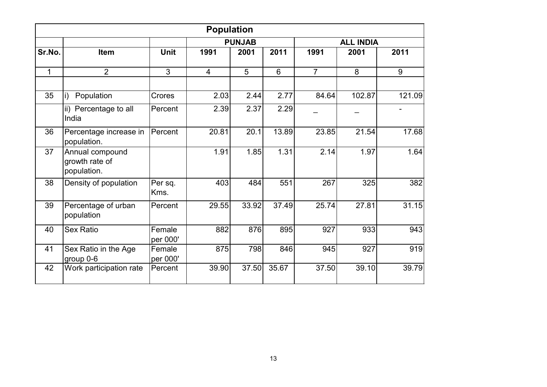|        |                                                  |                    | <b>Population</b> |               |       |                |                  |        |
|--------|--------------------------------------------------|--------------------|-------------------|---------------|-------|----------------|------------------|--------|
|        |                                                  |                    |                   | <b>PUNJAB</b> |       |                | <b>ALL INDIA</b> |        |
| Sr.No. | Item                                             | <b>Unit</b>        | 1991              | 2001          | 2011  | 1991           | 2001             | 2011   |
| 1      | $\overline{2}$                                   | 3                  | $\overline{4}$    | 5             | 6     | $\overline{7}$ | 8                | 9      |
| 35     | Population<br>i)                                 | Crores             | 2.03              | 2.44          | 2.77  | 84.64          | 102.87           | 121.09 |
|        | ii) Percentage to all<br>India                   | Percent            | 2.39              | 2.37          | 2.29  |                |                  |        |
| 36     | Percentage increase in<br>population.            | Percent            | 20.81             | 20.1          | 13.89 | 23.85          | 21.54            | 17.68  |
| 37     | Annual compound<br>growth rate of<br>population. |                    | 1.91              | 1.85          | 1.31  | 2.14           | 1.97             | 1.64   |
| 38     | Density of population                            | Per sq.<br>Kms.    | 403               | 484           | 551   | 267            | 325              | 382    |
| 39     | Percentage of urban<br>population                | Percent            | 29.55             | 33.92         | 37.49 | 25.74          | 27.81            | 31.15  |
| 40     | <b>Sex Ratio</b>                                 | Female<br>per 000' | 882               | 876           | 895   | 927            | 933              | 943    |
| 41     | Sex Ratio in the Age<br>group 0-6                | Female<br>per 000' | 875               | 798           | 846   | 945            | 927              | 919    |
| 42     | Work participation rate                          | Percent            | 39.90             | 37.50         | 35.67 | 37.50          | 39.10            | 39.79  |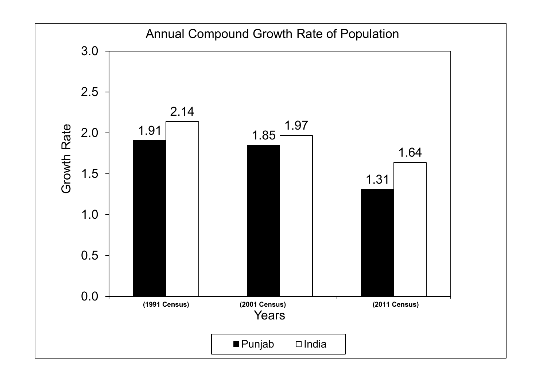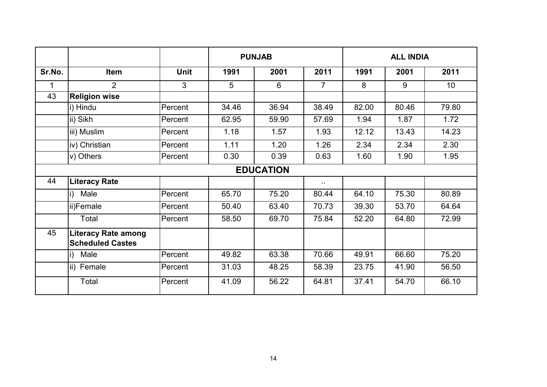|        |                                                       |             | <b>PUNJAB</b> |                  |                |       | <b>ALL INDIA</b> |       |  |
|--------|-------------------------------------------------------|-------------|---------------|------------------|----------------|-------|------------------|-------|--|
| Sr.No. | Item                                                  | <b>Unit</b> | 1991          | 2001             | 2011           | 1991  | 2001             | 2011  |  |
| 1      | $\overline{2}$                                        | 3           | 5             | 6                | $\overline{7}$ | 8     | 9                | 10    |  |
| 43     | <b>Religion wise</b>                                  |             |               |                  |                |       |                  |       |  |
|        | i) Hindu                                              | Percent     | 34.46         | 36.94            | 38.49          | 82.00 | 80.46            | 79.80 |  |
|        | ii) Sikh                                              | Percent     | 62.95         | 59.90            | 57.69          | 1.94  | 1.87             | 1.72  |  |
|        | iii) Muslim                                           | Percent     | 1.18          | 1.57             | 1.93           | 12.12 | 13.43            | 14.23 |  |
|        | iv) Christian                                         | Percent     | 1.11          | 1.20             | 1.26           | 2.34  | 2.34             | 2.30  |  |
|        | v) Others                                             | Percent     | 0.30          | 0.39             | 0.63           | 1.60  | 1.90             | 1.95  |  |
|        |                                                       |             |               | <b>EDUCATION</b> |                |       |                  |       |  |
| 44     | <b>Literacy Rate</b>                                  |             |               |                  | $\sim 10$      |       |                  |       |  |
|        | Male<br>i)                                            | Percent     | 65.70         | 75.20            | 80.44          | 64.10 | 75.30            | 80.89 |  |
|        | ii)Female                                             | Percent     | 50.40         | 63.40            | 70.73          | 39.30 | 53.70            | 64.64 |  |
|        | Total                                                 | Percent     | 58.50         | 69.70            | 75.84          | 52.20 | 64.80            | 72.99 |  |
| 45     | <b>Literacy Rate among</b><br><b>Scheduled Castes</b> |             |               |                  |                |       |                  |       |  |
|        | Male<br>i)                                            | Percent     | 49.82         | 63.38            | 70.66          | 49.91 | 66.60            | 75.20 |  |
|        | $\mathsf{ii}$<br>Female                               | Percent     | 31.03         | 48.25            | 58.39          | 23.75 | 41.90            | 56.50 |  |
|        | Total                                                 | Percent     | 41.09         | 56.22            | 64.81          | 37.41 | 54.70            | 66.10 |  |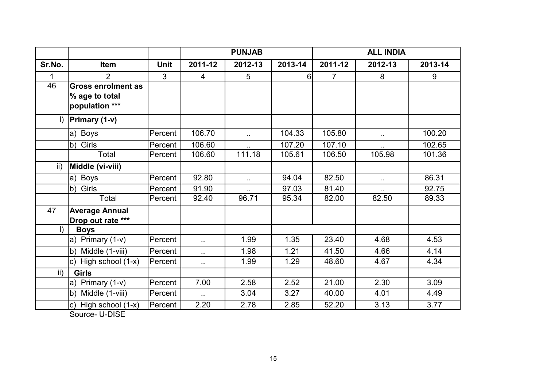|                 |                                                               |             | <b>PUNJAB</b>          |                      |         | <b>ALL INDIA</b> |              |         |
|-----------------|---------------------------------------------------------------|-------------|------------------------|----------------------|---------|------------------|--------------|---------|
| Sr.No.          | Item                                                          | <b>Unit</b> | 2011-12                | 2012-13              | 2013-14 | 2011-12          | 2012-13      | 2013-14 |
| $\mathbf{1}$    | $\overline{2}$                                                | 3           | 4                      | 5                    | 6       | $\overline{7}$   | 8            | 9       |
| 46              | <b>Gross enrolment as</b><br>% age to total<br>population *** |             |                        |                      |         |                  |              |         |
| $\vert$         | Primary (1-v)                                                 |             |                        |                      |         |                  |              |         |
|                 | a) Boys                                                       | Percent     | 106.70                 | $\sim$               | 104.33  | 105.80           | $\epsilon$ . | 100.20  |
|                 | b) Girls                                                      | Percent     | 106.60                 |                      | 107.20  | 107.10           |              | 102.65  |
|                 | Total                                                         | Percent     | 106.60                 | 111.18               | 105.61  | 106.50           | 105.98       | 101.36  |
| ii)             | Middle (vi-viii)                                              |             |                        |                      |         |                  |              |         |
|                 | a) Boys                                                       | Percent     | 92.80                  | $\ddot{\phantom{1}}$ | 94.04   | 82.50            | $\sim$       | 86.31   |
|                 | b) Girls                                                      | Percent     | 91.90                  |                      | 97.03   | 81.40            |              | 92.75   |
|                 | Total                                                         | Percent     | 92.40                  | 96.71                | 95.34   | 82.00            | 82.50        | 89.33   |
| 47              | <b>Average Annual</b><br>Drop out rate ***                    |             |                        |                      |         |                  |              |         |
| $\vert$         | <b>Boys</b>                                                   |             |                        |                      |         |                  |              |         |
|                 | a) Primary $(1-v)$                                            | Percent     | $\ddot{\phantom{1}}$   | 1.99                 | 1.35    | 23.40            | 4.68         | 4.53    |
|                 | b) Middle (1-viii)                                            | Percent     | $\ddot{\phantom{1}}$ . | 1.98                 | 1.21    | 41.50            | 4.66         | 4.14    |
|                 | c) High school $(1-x)$                                        | Percent     | $\ddot{\phantom{1}}$   | 1.99                 | 1.29    | 48.60            | 4.67         | 4.34    |
| $\mathsf{ii}$ ) | <b>Girls</b>                                                  |             |                        |                      |         |                  |              |         |
|                 | a) Primary $(1-v)$                                            | Percent     | 7.00                   | 2.58                 | 2.52    | 21.00            | 2.30         | 3.09    |
|                 | b) Middle (1-viii)                                            | Percent     | $\mathbf{r}$ .         | 3.04                 | 3.27    | 40.00            | 4.01         | 4.49    |
|                 | c) High school (1-x)<br>$\cdots$ $\sim$ $\sim$ $\sim$         | Percent     | 2.20                   | 2.78                 | 2.85    | 52.20            | 3.13         | 3.77    |

Source- U-DISE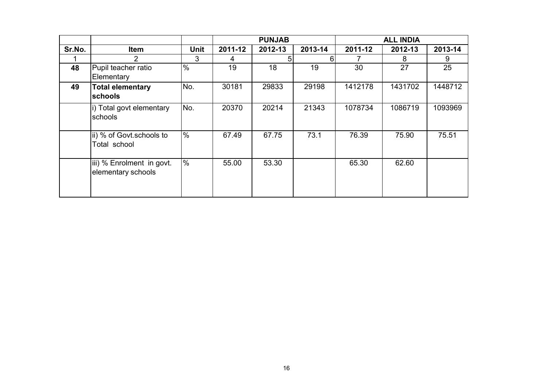|        |                                                 |             | <b>PUNJAB</b> |         |         | <b>ALL INDIA</b> |         |         |
|--------|-------------------------------------------------|-------------|---------------|---------|---------|------------------|---------|---------|
| Sr.No. | <b>Item</b>                                     | <b>Unit</b> | 2011-12       | 2012-13 | 2013-14 | 2011-12          | 2012-13 | 2013-14 |
|        | 2                                               | 3           | 4             | 51      | 6       |                  | 8       | 9       |
| 48     | Pupil teacher ratio<br>Elementary               | $\%$        | 19            | 18      | 19      | 30               | 27      | 25      |
| 49     | <b>Total elementary</b><br><b>schools</b>       | No.         | 30181         | 29833   | 29198   | 1412178          | 1431702 | 1448712 |
|        | i) Total govt elementary<br>schools             | INo.        | 20370         | 20214   | 21343   | 1078734          | 1086719 | 1093969 |
|        | ii) % of Govt.schools to<br>Total school        | $\%$        | 67.49         | 67.75   | 73.1    | 76.39            | 75.90   | 75.51   |
|        | iii) % Enrolment in govt.<br>elementary schools | %           | 55.00         | 53.30   |         | 65.30            | 62.60   |         |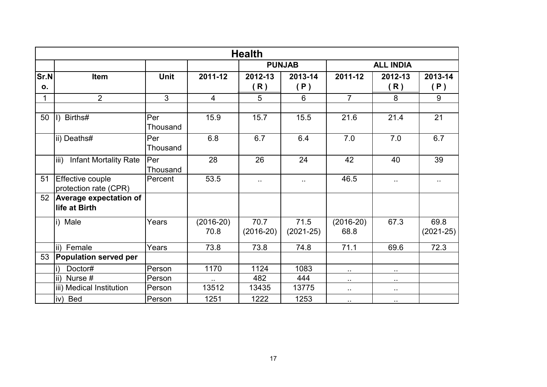|            |                                                           |                 |                     | <b>Health</b>       |                     |                      |                      |                     |  |
|------------|-----------------------------------------------------------|-----------------|---------------------|---------------------|---------------------|----------------------|----------------------|---------------------|--|
|            |                                                           |                 |                     |                     | <b>PUNJAB</b>       | <b>ALL INDIA</b>     |                      |                     |  |
| Sr.N<br>0. | Item                                                      | <b>Unit</b>     | 2011-12             | 2012-13<br>R)       | 2013-14<br>(P)      | 2011-12              | 2012-13<br>(R)       | 2013-14<br>(P)      |  |
| 1          | $\overline{2}$                                            | 3               | $\overline{4}$      | 5                   | 6                   | $\overline{7}$       | 8                    | 9                   |  |
| 50         | Births#<br>$\vert$                                        | Per<br>Thousand | 15.9                | 15.7                | 15.5                | 21.6                 | 21.4                 | 21                  |  |
|            | ii) Deaths#                                               | Per<br>Thousand | 6.8                 | 6.7                 | 6.4                 | 7.0                  | 7.0                  | 6.7                 |  |
|            | $\overline{\mathsf{iii}}$<br><b>Infant Mortality Rate</b> | Per<br>Thousand | 28                  | 26                  | 24                  | 42                   | 40                   | 39                  |  |
| 51         | <b>Effective couple</b><br>protection rate (CPR)          | Percent         | 53.5                | $\sim$              | Ω.                  | 46.5                 | $\ddot{\phantom{1}}$ | Ω.                  |  |
| 52         | <b>Average expectation of</b><br>life at Birth            |                 |                     |                     |                     |                      |                      |                     |  |
|            | i) Male                                                   | Years           | $(2016-20)$<br>70.8 | 70.7<br>$(2016-20)$ | 71.5<br>$(2021-25)$ | $(2016-20)$<br>68.8  | 67.3                 | 69.8<br>$(2021-25)$ |  |
|            | ii) Female                                                | Years           | 73.8                | 73.8                | 74.8                | 71.1                 | 69.6                 | 72.3                |  |
| 53         | <b>Population served per</b>                              |                 |                     |                     |                     |                      |                      |                     |  |
|            | Doctor#                                                   | Person          | 1170                | 1124                | 1083                | $\sim$               | $\sim$               |                     |  |
|            | ii) Nurse #                                               | Person          |                     | 482                 | 444                 | $\sim$               | $\sim$ $\sim$        |                     |  |
|            | iii) Medical Institution                                  | Person          | 13512               | 13435               | 13775               | $\ddot{\phantom{1}}$ | $\sim$               |                     |  |
|            | iv) Bed                                                   | Person          | 1251                | 1222                | 1253                | $\sim$               | $\sim$               |                     |  |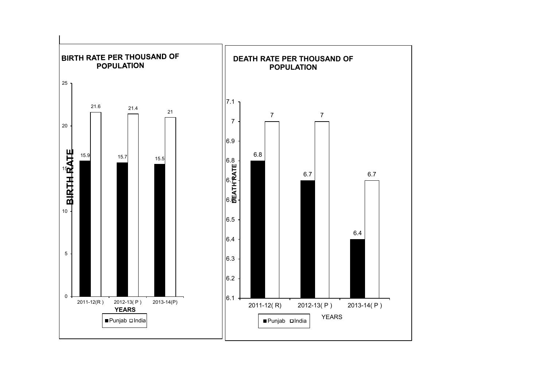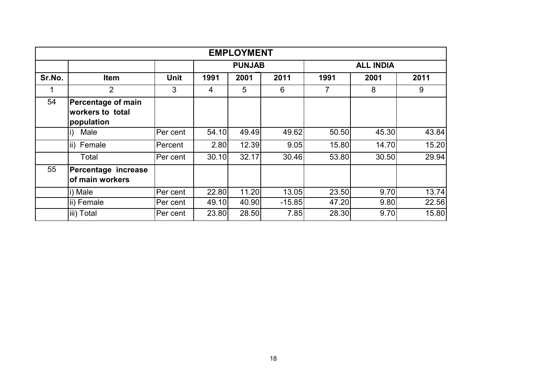| <b>EMPLOYMENT</b> |                                                      |             |       |               |          |       |                  |       |  |  |
|-------------------|------------------------------------------------------|-------------|-------|---------------|----------|-------|------------------|-------|--|--|
|                   |                                                      |             |       | <b>PUNJAB</b> |          |       | <b>ALL INDIA</b> |       |  |  |
| Sr.No.            | <b>Item</b>                                          | <b>Unit</b> | 1991  | 2001          | 2011     | 1991  | 2001             | 2011  |  |  |
| 1                 | $\overline{2}$                                       | 3           | 4     | 5             | 6        | 7     | 8                | 9     |  |  |
| 54                | Percentage of main<br>workers to total<br>population |             |       |               |          |       |                  |       |  |  |
|                   | Male<br>li)                                          | Per cent    | 54.10 | 49.49         | 49.62    | 50.50 | 45.30            | 43.84 |  |  |
|                   | ii) Female                                           | Percent     | 2.80  | 12.39         | 9.05     | 15.80 | 14.70            | 15.20 |  |  |
|                   | Total                                                | Per cent    | 30.10 | 32.17         | 30.46    | 53.80 | 30.50            | 29.94 |  |  |
| 55                | Percentage increase<br>of main workers               |             |       |               |          |       |                  |       |  |  |
|                   | i) Male                                              | Per cent    | 22.80 | 11.20         | 13.05    | 23.50 | 9.70             | 13.74 |  |  |
|                   | ii) Female                                           | Per cent    | 49.10 | 40.90         | $-15.85$ | 47.20 | 9.80             | 22.56 |  |  |
|                   | iii) Total                                           | Per cent    | 23.80 | 28.50         | 7.85     | 28.30 | 9.70             | 15.80 |  |  |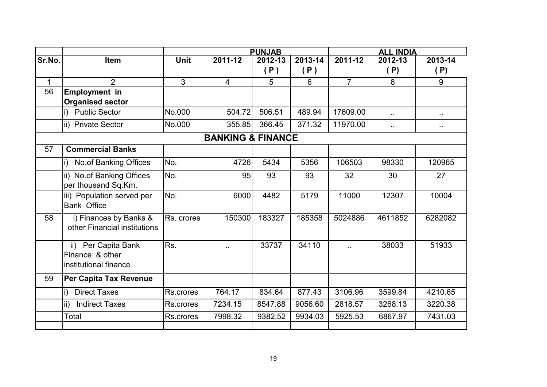|              |                                                                 |                |                              | <b>PUNJAB</b> |         | <b>ALL INDIA</b> |                      |           |  |
|--------------|-----------------------------------------------------------------|----------------|------------------------------|---------------|---------|------------------|----------------------|-----------|--|
| Sr.No.       | <b>Item</b>                                                     | <b>Unit</b>    | 2011-12                      | 2012-13       | 2013-14 | 2011-12          | 2012-13              | 2013-14   |  |
|              |                                                                 |                |                              | (P)           | (P)     |                  | (P)                  | (P)       |  |
| $\mathbf{1}$ | $\overline{2}$                                                  | $\overline{3}$ | $\overline{4}$               | 5             | 6       | $\overline{7}$   | 8                    | 9         |  |
| 56           | <b>Employment in</b><br><b>Organised sector</b>                 |                |                              |               |         |                  |                      |           |  |
|              | <b>Public Sector</b><br>i).                                     | No.000         | 504.72                       | 506.51        | 489.94  | 17609.00         | 44                   | н.        |  |
|              | ii) Private Sector                                              | No.000         | 355.85                       | 366.45        | 371.32  | 11970.00         | $\ddot{\phantom{a}}$ | $\ddotsc$ |  |
|              |                                                                 |                | <b>BANKING &amp; FINANCE</b> |               |         |                  |                      |           |  |
| 57           | <b>Commercial Banks</b>                                         |                |                              |               |         |                  |                      |           |  |
|              | No.of Banking Offices<br>i)                                     | No.            | 4726                         | 5434          | 5356    | 106503           | 98330                | 120965    |  |
|              | ii) No.of Banking Offices<br>per thousand Sq.Km.                | No.            | 95                           | 93            | 93      | 32               | 30                   | 27        |  |
|              | iii) Population served per<br><b>Bank Office</b>                | No.            | 6000                         | 4482          | 5179    | 11000            | 12307                | 10004     |  |
| 58           | i) Finances by Banks &<br>other Financial institutions          | Rs. crores     | 150300                       | 183327        | 185358  | 5024886          | 4611852              | 6282082   |  |
|              | ii) Per Capita Bank<br>Finance & other<br>institutional finance | Rs.            |                              | 33737         | 34110   |                  | 38033                | 51933     |  |
| 59           | Per Capita Tax Revenue                                          |                |                              |               |         |                  |                      |           |  |
|              | <b>Direct Taxes</b><br>i)                                       | Rs.crores      | 764.17                       | 834.64        | 877.43  | 3106.96          | 3599.84              | 4210.65   |  |
|              | ii)<br><b>Indirect Taxes</b>                                    | Rs.crores      | 7234.15                      | 8547.88       | 9056.60 | 2818.57          | 3268.13              | 3220.38   |  |
|              | Total                                                           | Rs.crores      | 7998.32                      | 9382.52       | 9934.03 | 5925.53          | 6867.97              | 7431.03   |  |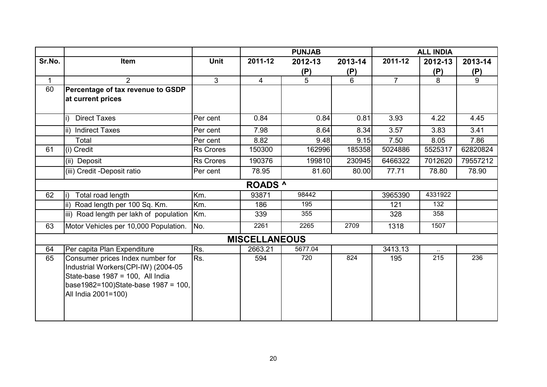|        |                                         |                  | <b>PUNJAB</b>        |                |         |                | <b>ALL INDIA</b> |                |
|--------|-----------------------------------------|------------------|----------------------|----------------|---------|----------------|------------------|----------------|
| Sr.No. | Item                                    | Unit             | 2011-12              | 2012-13        | 2013-14 | 2011-12        | 2012-13          | 2013-14        |
|        |                                         |                  |                      | (P)            | (P)     |                | (P)              | (P)            |
| 1      | $\overline{2}$                          | $\overline{3}$   | $\overline{4}$       | 5 <sup>5</sup> | 6       | $\overline{7}$ | 8                | $\overline{9}$ |
| 60     | Percentage of tax revenue to GSDP       |                  |                      |                |         |                |                  |                |
|        | at current prices                       |                  |                      |                |         |                |                  |                |
|        |                                         |                  |                      |                |         |                |                  |                |
|        | <b>Direct Taxes</b>                     | Per cent         | 0.84                 | 0.84           | 0.81    | 3.93           | 4.22             | 4.45           |
|        | <b>Indirect Taxes</b><br>lii)           | Per cent         | 7.98                 | 8.64           | 8.34    | 3.57           | 3.83             | 3.41           |
|        | Total                                   | Per cent         | 8.82                 | 9.48           | 9.15    | 7.50           | 8.05             | 7.86           |
| 61     | (i) Credit                              | <b>Rs Crores</b> | 150300               | 162996         | 185358  | 5024886        | 5525317          | 62820824       |
|        | (ii) Deposit                            | <b>Rs Crores</b> | 190376               | 199810         | 230945  | 6466322        | 7012620          | 79557212       |
|        | (iii) Credit -Deposit ratio             | Per cent         | 78.95                | 81.60          | 80.00   | 77.71          | 78.80            | 78.90          |
|        |                                         |                  | <b>ROADS</b> ^       |                |         |                |                  |                |
| 62     | Total road length                       | Km.              | 93871                | 98442          |         | 3965390        | 4331922          |                |
|        | ii) Road length per 100 Sq. Km.         | Km.              | 186                  | 195            |         | 121            | 132              |                |
|        | iii) Road length per lakh of population | Km.              | 339                  | 355            |         | 328            | 358              |                |
| 63     | Motor Vehicles per 10,000 Population.   | No.              | 2261                 | 2265           | 2709    | 1318           | 1507             |                |
|        |                                         |                  | <b>MISCELLANEOUS</b> |                |         |                |                  |                |
| 64     | Per capita Plan Expenditure             | Rs.              | 2663.21              | 5677.04        |         | 3413.13        |                  |                |
| 65     | Consumer prices Index number for        | Rs.              | 594                  | 720            | 824     | 195            | 215              | 236            |
|        | Industrial Workers(CPI-IW) (2004-05     |                  |                      |                |         |                |                  |                |
|        | State-base 1987 = 100, All India        |                  |                      |                |         |                |                  |                |
|        | base1982=100)State-base 1987 = 100,     |                  |                      |                |         |                |                  |                |
|        | All India 2001=100)                     |                  |                      |                |         |                |                  |                |
|        |                                         |                  |                      |                |         |                |                  |                |
|        |                                         |                  |                      |                |         |                |                  |                |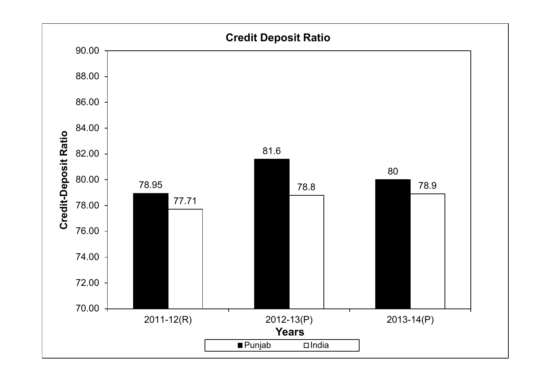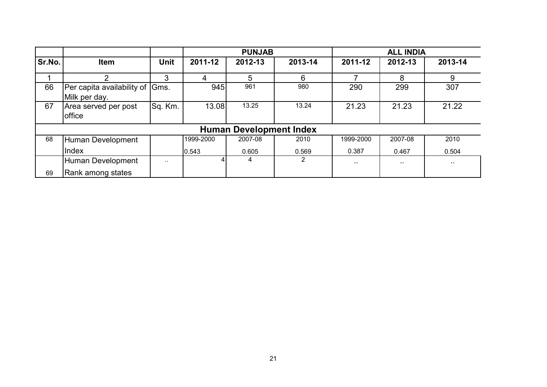|        |                                                  |               |           | <b>PUNJAB</b>                  |         | <b>ALL INDIA</b> |               |               |  |
|--------|--------------------------------------------------|---------------|-----------|--------------------------------|---------|------------------|---------------|---------------|--|
| Sr.No. | <b>Item</b>                                      | Unit          | 2011-12   | 2012-13                        | 2013-14 | 2011-12          | 2012-13       | 2013-14       |  |
|        | າ                                                | 3             | 4         | 5                              | 6       | ⇁                | 8             | 9             |  |
| 66     | Per capita availability of Gms.<br>Milk per day. |               | 945       | 961                            | 980     | 290              | 299           | 307           |  |
| 67     | Area served per post<br><b>office</b>            | Sq. Km.       | 13.08     | 13.25                          | 13.24   | 21.23            | 21.23         | 21.22         |  |
|        |                                                  |               |           | <b>Human Development Index</b> |         |                  |               |               |  |
| 68     | Human Development                                |               | 1999-2000 | 2007-08                        | 2010    | 1999-2000        | 2007-08       | 2010          |  |
|        | Index                                            |               | 0.543     | 0.605                          | 0.569   | 0.387            | 0.467         | 0.504         |  |
|        | Human Development                                | $\sim$ $\sim$ |           | 4                              | 2       | $\sim$ $\sim$    | $\sim$ $\sim$ | $\sim$ $\sim$ |  |
| 69     | Rank among states                                |               |           |                                |         |                  |               |               |  |